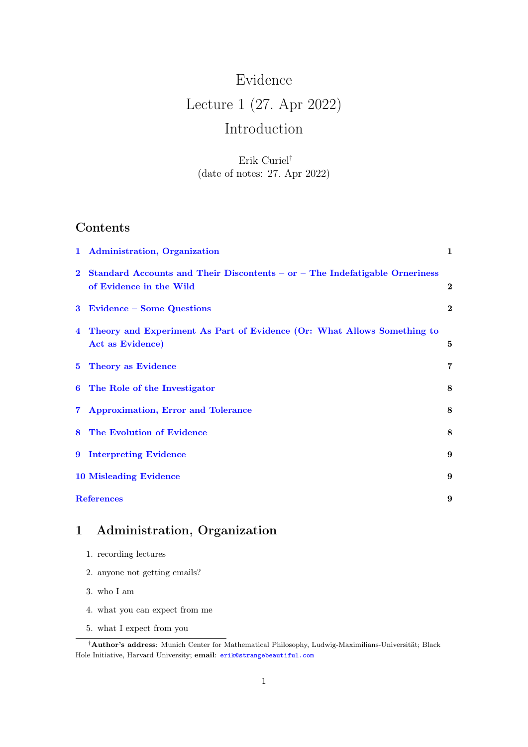# Evidence Lecture 1 (27. Apr 2022) Introduction

Erik Curiel† (date of notes: 27. Apr 2022)

## Contents

| 1 Administration, Organization                                                                           | $\mathbf{1}$            |
|----------------------------------------------------------------------------------------------------------|-------------------------|
| 2 Standard Accounts and Their Discontents – or – The Indefatigable Orneriness<br>of Evidence in the Wild | $\mathbf{2}$            |
| 3 Evidence – Some Questions                                                                              | $\bf{2}$                |
| 4 Theory and Experiment As Part of Evidence (Or: What Allows Something to<br>Act as Evidence)            | 5                       |
| 5 Theory as Evidence                                                                                     | $\overline{\mathbf{7}}$ |
| 6 The Role of the Investigator                                                                           | 8                       |
| 7 Approximation, Error and Tolerance                                                                     | 8                       |
| 8 The Evolution of Evidence                                                                              | 8                       |
| 9 Interpreting Evidence                                                                                  | 9                       |
| <b>10 Misleading Evidence</b>                                                                            | 9                       |
| <b>References</b>                                                                                        | 9                       |

# <span id="page-0-0"></span>1 Administration, Organization

- 1. recording lectures
- 2. anyone not getting emails?
- 3. who I am
- 4. what you can expect from me
- 5. what I expect from you

<sup>†</sup>Author's address: Munich Center for Mathematical Philosophy, Ludwig-Maximilians-Universität; Black Hole Initiative, Harvard University; email: [erik@strangebeautiful.com](mailto:erik@strangebeautiful.com)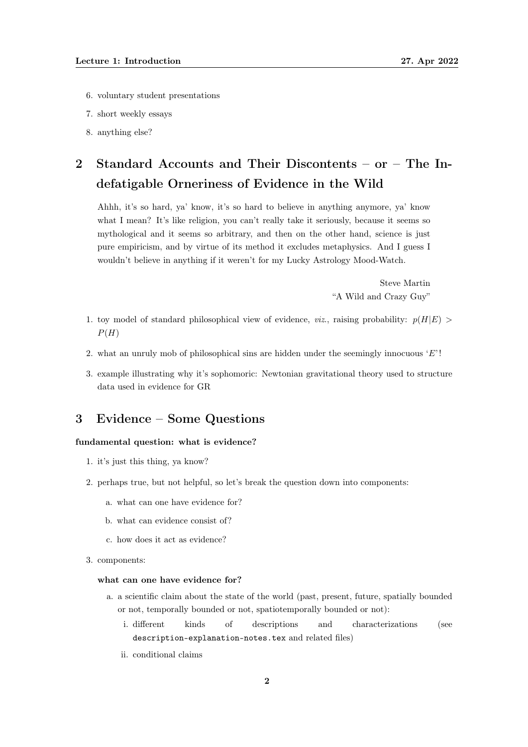- 6. voluntary student presentations
- 7. short weekly essays
- 8. anything else?

# <span id="page-1-0"></span>2 Standard Accounts and Their Discontents – or – The Indefatigable Orneriness of Evidence in the Wild

Ahhh, it's so hard, ya' know, it's so hard to believe in anything anymore, ya' know what I mean? It's like religion, you can't really take it seriously, because it seems so mythological and it seems so arbitrary, and then on the other hand, science is just pure empiricism, and by virtue of its method it excludes metaphysics. And I guess I wouldn't believe in anything if it weren't for my Lucky Astrology Mood-Watch.

> Steve Martin "A Wild and Crazy Guy"

- 1. toy model of standard philosophical view of evidence, *viz.*, raising probability:  $p(H|E)$  $P(H)$
- 2. what an unruly mob of philosophical sins are hidden under the seemingly innocuous  $E'$ !
- 3. example illustrating why it's sophomoric: Newtonian gravitational theory used to structure data used in evidence for GR

### <span id="page-1-1"></span>3 Evidence – Some Questions

### fundamental question: what is evidence?

- 1. it's just this thing, ya know?
- 2. perhaps true, but not helpful, so let's break the question down into components:
	- a. what can one have evidence for?
	- b. what can evidence consist of?
	- c. how does it act as evidence?
- 3. components:

#### what can one have evidence for?

- a. a scientific claim about the state of the world (past, present, future, spatially bounded or not, temporally bounded or not, spatiotemporally bounded or not):
	- i. different kinds of descriptions and characterizations (see description-explanation-notes.tex and related files)
	- ii. conditional claims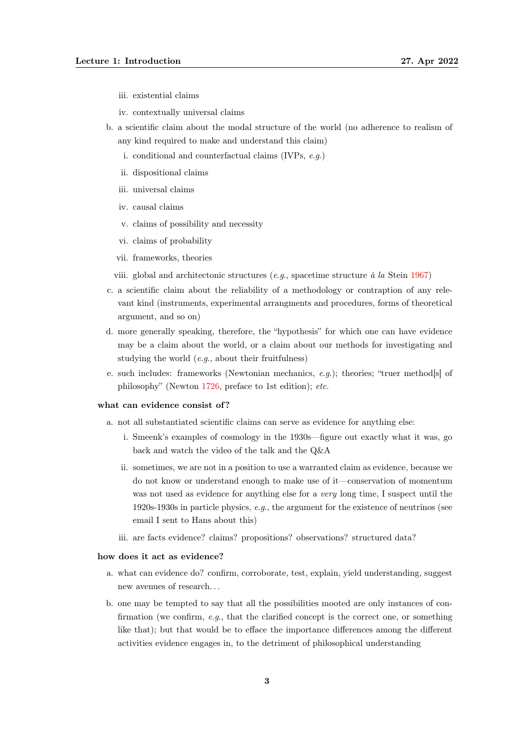- iii. existential claims
- iv. contextually universal claims
- b. a scientific claim about the modal structure of the world (no adherence to realism of any kind required to make and understand this claim)
	- i. conditional and counterfactual claims (IVPs, e.g.)
	- ii. dispositional claims
	- iii. universal claims
	- iv. causal claims
	- v. claims of possibility and necessity
	- vi. claims of probability
	- vii. frameworks, theories
	- viii. global and architectonic structures  $(e.g.,)$  spacetime structure à la Stein [1967\)](#page-9-0)
- c. a scientific claim about the reliability of a methodology or contraption of any relevant kind (instruments, experimental arrangments and procedures, forms of theoretical argument, and so on)
- d. more generally speaking, therefore, the "hypothesis" for which one can have evidence may be a claim about the world, or a claim about our methods for investigating and studying the world  $(e.g.,$  about their fruitfulness)
- e. such includes: frameworks (Newtonian mechanics,  $e.g.$ ); theories; "truer method[s] of philosophy" (Newton [1726,](#page-8-3) preface to 1st edition); etc.

#### what can evidence consist of?

- a. not all substantiated scientific claims can serve as evidence for anything else:
	- i. Smeenk's examples of cosmology in the 1930s—figure out exactly what it was, go back and watch the video of the talk and the Q&A
	- ii. sometimes, we are not in a position to use a warranted claim as evidence, because we do not know or understand enough to make use of it—conservation of momentum was not used as evidence for anything else for a *very* long time, I suspect until the 1920s-1930s in particle physics, e.g., the argument for the existence of neutrinos (see email I sent to Hans about this)
	- iii. are facts evidence? claims? propositions? observations? structured data?

#### how does it act as evidence?

- a. what can evidence do? confirm, corroborate, test, explain, yield understanding, suggest new avenues of research. . .
- b. one may be tempted to say that all the possibilities mooted are only instances of confirmation (we confirm,  $e.g.,$  that the clarified concept is the correct one, or something like that); but that would be to efface the importance differences among the different activities evidence engages in, to the detriment of philosophical understanding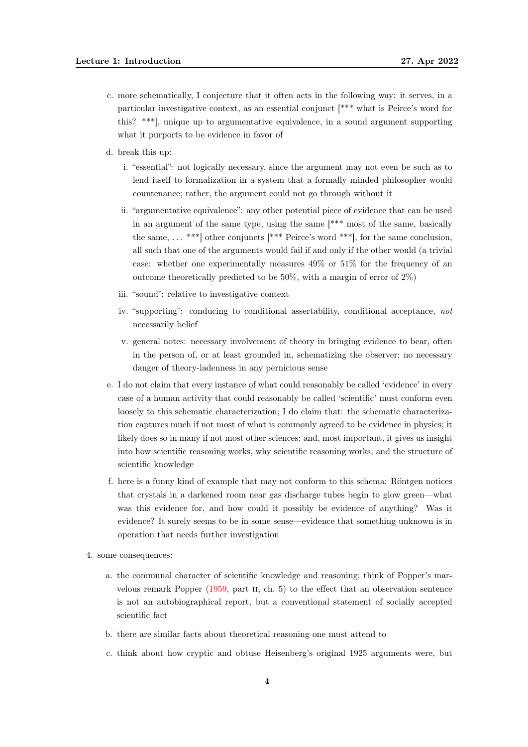- c. more schematically, I conjecture that it often acts in the following way: it serves, in a particular investigative context, as an essential conjunct [\*\*\* what is Peirce's word for this? \*\*\*], unique up to argumentative equivalence, in a sound argument supporting what it purports to be evidence in favor of
- d. break this up:
	- i. "essential": not logically necessary, since the argument may not even be such as to lend itself to formalization in a system that a formally minded philosopher would countenance; rather, the argument could not go through without it
	- ii. "argumentative equivalence": any other potential piece of evidence that can be used in an argument of the same type, using the same [\*\*\* most of the same, basically the same,  $\dots$  \*\*\* other conjuncts [\*\*\* Peirce's word \*\*\*], for the same conclusion, all such that one of the arguments would fail if and only if the other would (a trivial case: whether one experimentally measures 49% or 51% for the frequency of an outcome theoretically predicted to be  $50\%$ , with a margin of error of  $2\%$ )
	- iii. "sound": relative to investigative context
	- iv. "supporting": conducing to conditional assertability, conditional acceptance, not necessarily belief
	- v. general notes: necessary involvement of theory in bringing evidence to bear, often in the person of, or at least grounded in, schematizing the observer; no necessary danger of theory-ladenness in any pernicious sense
- e. I do not claim that every instance of what could reasonably be called 'evidence' in every case of a human activity that could reasonably be called 'scientific' must conform even loosely to this schematic characterization; I do claim that: the schematic characterization captures much if not most of what is commonly agreed to be evidence in physics; it likely does so in many if not most other sciences; and, most important, it gives us insight into how scientific reasoning works, why scientific reasoning works, and the structure of scientific knowledge
- f. here is a funny kind of example that may not conform to this schema: Röntgen notices that crystals in a darkened room near gas discharge tubes begin to glow green—what was this evidence for, and how could it possibly be evidence of anything? Was it evidence? It surely seems to be in some sense—evidence that something unknown is in operation that needs further investigation
- 4. some consequences:
	- a. the communal character of scientific knowledge and reasoning; think of Popper's marvelous remark Popper [\(1959,](#page-9-1) part ii, ch. 5) to the effect that an observation sentence is not an autobiographical report, but a conventional statement of socially accepted scientific fact
	- b. there are similar facts about theoretical reasoning one must attend to
	- c. think about how cryptic and obtuse Heisenberg's original 1925 arguments were, but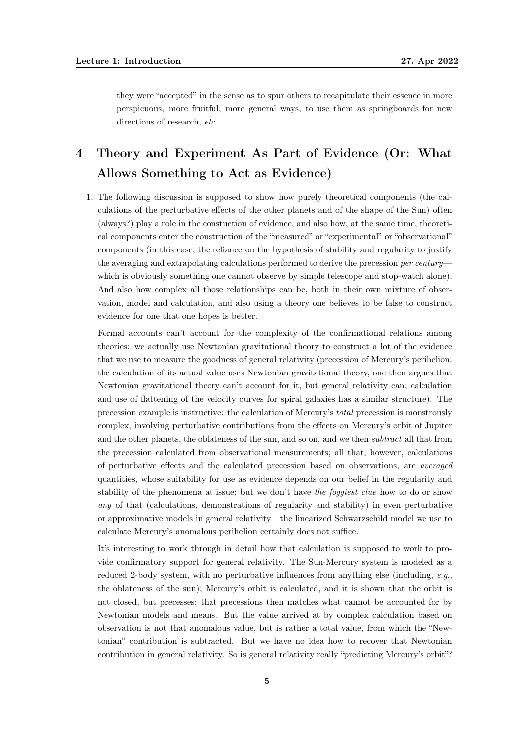they were "accepted" in the sense as to spur others to recapitulate their essence in more perspicuous, more fruitful, more general ways, to use them as springboards for new directions of research, etc.

# <span id="page-4-0"></span>4 Theory and Experiment As Part of Evidence (Or: What Allows Something to Act as Evidence)

1. The following discussion is supposed to show how purely theoretical components (the calculations of the perturbative effects of the other planets and of the shape of the Sun) often (always?) play a role in the constuction of evidence, and also how, at the same time, theoretical components enter the construction of the "measured" or "experimental" or "observational" components (in this case, the reliance on the hypothesis of stability and regularity to justify the averaging and extrapolating calculations performed to derive the precession per century which is obviously something one cannot observe by simple telescope and stop-watch alone). And also how complex all those relationships can be, both in their own mixture of observation, model and calculation, and also using a theory one believes to be false to construct evidence for one that one hopes is better.

Formal accounts can't account for the complexity of the confirmational relations among theories: we actually use Newtonian gravitational theory to construct a lot of the evidence that we use to measure the goodness of general relativity (precession of Mercury's perihelion: the calculation of its actual value uses Newtonian gravitational theory, one then argues that Newtonian gravitational theory can't account for it, but general relativity can; calculation and use of flattening of the velocity curves for spiral galaxies has a similar structure). The precession example is instructive: the calculation of Mercury's total precession is monstrously complex, involving perturbative contributions from the effects on Mercury's orbit of Jupiter and the other planets, the oblateness of the sun, and so on, and we then subtract all that from the precession calculated from observational measurements; all that, however, calculations of perturbative effects and the calculated precession based on observations, are averaged quantities, whose suitability for use as evidence depends on our belief in the regularity and stability of the phenomena at issue; but we don't have the foggiest clue how to do or show any of that (calculations, demonstrations of regularity and stability) in even perturbative or approximative models in general relativity—the linearized Schwarzschild model we use to calculate Mercury's anomalous perihelion certainly does not suffice.

It's interesting to work through in detail how that calculation is supposed to work to provide confirmatory support for general relativity. The Sun-Mercury system is modeled as a reduced 2-body system, with no perturbative influences from anything else (including, e.g., the oblateness of the sun); Mercury's orbit is calculated, and it is shown that the orbit is not closed, but precesses; that precessions then matches what cannot be accounted for by Newtonian models and means. But the value arrived at by complex calculation based on observation is not that anomalous value, but is rather a total value, from which the "Newtonian" contribution is subtracted. But we have no idea how to recover that Newtonian contribution in general relativity. So is general relativity really "predicting Mercury's orbit"?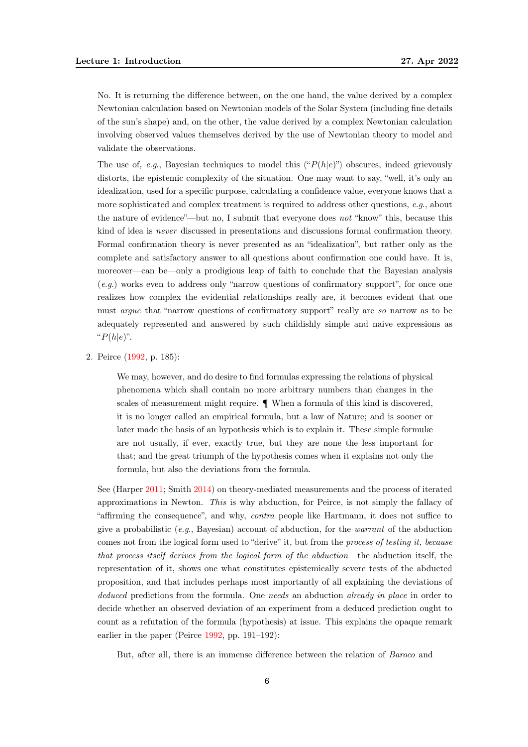No. It is returning the difference between, on the one hand, the value derived by a complex Newtonian calculation based on Newtonian models of the Solar System (including fine details of the sun's shape) and, on the other, the value derived by a complex Newtonian calculation involving observed values themselves derived by the use of Newtonian theory to model and validate the observations.

The use of, e.g., Bayesian techniques to model this  $("P(h|e)")$  obscures, indeed grievously distorts, the epistemic complexity of the situation. One may want to say, "well, it's only an idealization, used for a specific purpose, calculating a confidence value, everyone knows that a more sophisticated and complex treatment is required to address other questions, e.g., about the nature of evidence"—but no, I submit that everyone does not "know" this, because this kind of idea is never discussed in presentations and discussions formal confirmation theory. Formal confirmation theory is never presented as an "idealization", but rather only as the complete and satisfactory answer to all questions about confirmation one could have. It is, moreover—can be—only a prodigious leap of faith to conclude that the Bayesian analysis (e.g.) works even to address only "narrow questions of confirmatory support", for once one realizes how complex the evidential relationships really are, it becomes evident that one must argue that "narrow questions of confirmatory support" really are so narrow as to be adequately represented and answered by such childishly simple and naive expressions as " $P(h|e)$ ".

2. Peirce [\(1992,](#page-8-4) p. 185):

We may, however, and do desire to find formulas expressing the relations of physical phenomena which shall contain no more arbitrary numbers than changes in the scales of measurement might require. ¶ When a formula of this kind is discovered, it is no longer called an empirical formula, but a law of Nature; and is sooner or later made the basis of an hypothesis which is to explain it. These simple formulæ are not usually, if ever, exactly true, but they are none the less important for that; and the great triumph of the hypothesis comes when it explains not only the formula, but also the deviations from the formula.

See (Harper [2011;](#page-8-5) Smith [2014\)](#page-9-2) on theory-mediated measurements and the process of iterated approximations in Newton. This is why abduction, for Peirce, is not simply the fallacy of "affirming the consequence", and why, contra people like Hartmann, it does not suffice to give a probabilistic  $(e.g., Bayesian)$  account of abduction, for the warrant of the abduction comes not from the logical form used to "derive" it, but from the process of testing it, because that process itself derives from the logical form of the abduction—the abduction itself, the representation of it, shows one what constitutes epistemically severe tests of the abducted proposition, and that includes perhaps most importantly of all explaining the deviations of deduced predictions from the formula. One needs an abduction already in place in order to decide whether an observed deviation of an experiment from a deduced prediction ought to count as a refutation of the formula (hypothesis) at issue. This explains the opaque remark earlier in the paper (Peirce [1992,](#page-8-4) pp. 191–192):

But, after all, there is an immense difference between the relation of Baroco and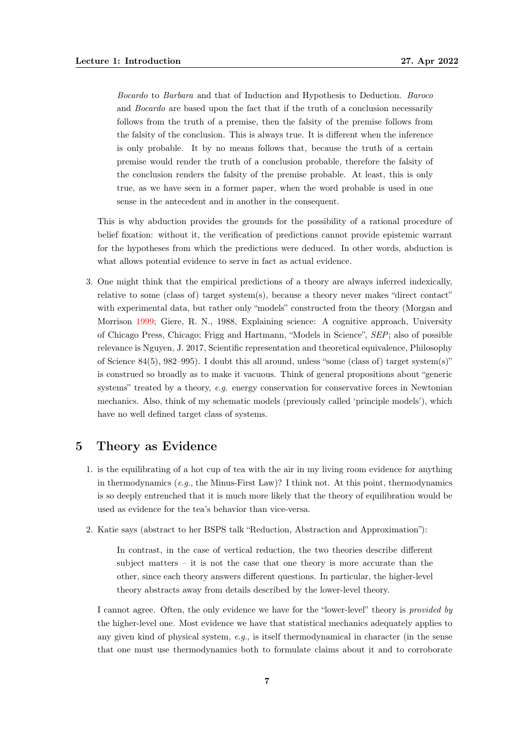Bocardo to Barbara and that of Induction and Hypothesis to Deduction. Baroco and Bocardo are based upon the fact that if the truth of a conclusion necessarily follows from the truth of a premise, then the falsity of the premise follows from the falsity of the conclusion. This is always true. It is different when the inference is only probable. It by no means follows that, because the truth of a certain premise would render the truth of a conclusion probable, therefore the falsity of the conclusion renders the falsity of the premise probable. At least, this is only true, as we have seen in a former paper, when the word probable is used in one sense in the antecedent and in another in the consequent.

This is why abduction provides the grounds for the possibility of a rational procedure of belief fixation: without it, the verification of predictions cannot provide epistemic warrant for the hypotheses from which the predictions were deduced. In other words, abduction is what allows potential evidence to serve in fact as actual evidence.

3. One might think that the empirical predictions of a theory are always inferred indexically, relative to some (class of) target system(s), because a theory never makes "direct contact" with experimental data, but rather only "models" constructed from the theory (Morgan and Morrison [1999;](#page-8-6) Giere, R. N., 1988, Explaining science: A cognitive approach, University of Chicago Press, Chicago; Frigg and Hartmann, "Models in Science", SEP; also of possible relevance is Nguyen, J. 2017, Scientific representation and theoretical equivalence, Philosophy of Science 84(5), 982–995). I doubt this all around, unless "some (class of) target system(s)" is construed so broadly as to make it vacuous. Think of general propositions about "generic systems" treated by a theory, e.g. energy conservation for conservative forces in Newtonian mechanics. Also, think of my schematic models (previously called 'principle models'), which have no well defined target class of systems.

### <span id="page-6-0"></span>5 Theory as Evidence

- 1. is the equilibrating of a hot cup of tea with the air in my living room evidence for anything in thermodynamics (e.g., the Minus-First Law)? I think not. At this point, thermodynamics is so deeply entrenched that it is much more likely that the theory of equilibration would be used as evidence for the tea's behavior than vice-versa.
- 2. Katie says (abstract to her BSPS talk "Reduction, Abstraction and Approximation"):

In contrast, in the case of vertical reduction, the two theories describe different subject matters  $-$  it is not the case that one theory is more accurate than the other, since each theory answers different questions. In particular, the higher-level theory abstracts away from details described by the lower-level theory.

I cannot agree. Often, the only evidence we have for the "lower-level" theory is provided by the higher-level one. Most evidence we have that statistical mechanics adequately applies to any given kind of physical system,  $e,q$ , is itself thermodynamical in character (in the sense that one must use thermodynamics both to formulate claims about it and to corroborate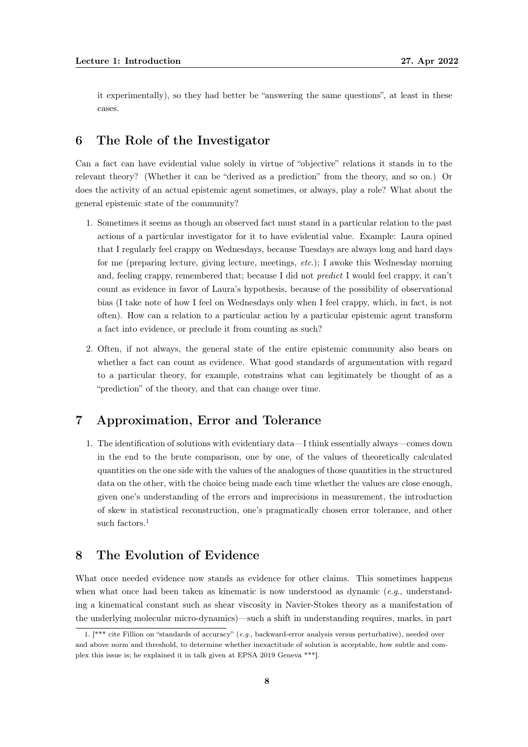it experimentally), so they had better be "answering the same questions", at least in these cases.

### <span id="page-7-0"></span>6 The Role of the Investigator

Can a fact can have evidential value solely in virtue of "objective" relations it stands in to the relevant theory? (Whether it can be "derived as a prediction" from the theory, and so on.) Or does the activity of an actual epistemic agent sometimes, or always, play a role? What about the general epistemic state of the community?

- 1. Sometimes it seems as though an observed fact must stand in a particular relation to the past actions of a particular investigator for it to have evidential value. Example: Laura opined that I regularly feel crappy on Wednesdays, because Tuesdays are always long and hard days for me (preparing lecture, giving lecture, meetings, etc.); I awoke this Wednesday morning and, feeling crappy, remembered that; because I did not predict I would feel crappy, it can't count as evidence in favor of Laura's hypothesis, because of the possibility of observational bias (I take note of how I feel on Wednesdays only when I feel crappy, which, in fact, is not often). How can a relation to a particular action by a particular epistemic agent transform a fact into evidence, or preclude it from counting as such?
- 2. Often, if not always, the general state of the entire epistemic community also bears on whether a fact can count as evidence. What good standards of argumentation with regard to a particular theory, for example, constrains what can legitimately be thought of as a "prediction" of the theory, and that can change over time.

### <span id="page-7-1"></span>7 Approximation, Error and Tolerance

1. The identification of solutions with evidentiary data—I think essentially always—comes down in the end to the brute comparison, one by one, of the values of theoretically calculated quantities on the one side with the values of the analogues of those quantities in the structured data on the other, with the choice being made each time whether the values are close enough, given one's understanding of the errors and imprecisions in measurement, the introduction of skew in statistical reconstruction, one's pragmatically chosen error tolerance, and other such factors.<sup>[1](#page-7-3)</sup>

### <span id="page-7-2"></span>8 The Evolution of Evidence

What once needed evidence now stands as evidence for other claims. This sometimes happens when what once had been taken as kinematic is now understood as dynamic  $(e.g.,$  understanding a kinematical constant such as shear viscosity in Navier-Stokes theory as a manifestation of the underlying molecular micro-dynamics)—such a shift in understanding requires, marks, in part

<span id="page-7-3"></span><sup>1. [\*\*\*</sup> cite Fillion on "standards of accuracy" (e.g., backward-error analysis versus perturbative), needed over and above norm and threshold, to determine whether inexactitude of solution is acceptable, how subtle and complex this issue is; he explained it in talk given at EPSA 2019 Geneva \*\*\*].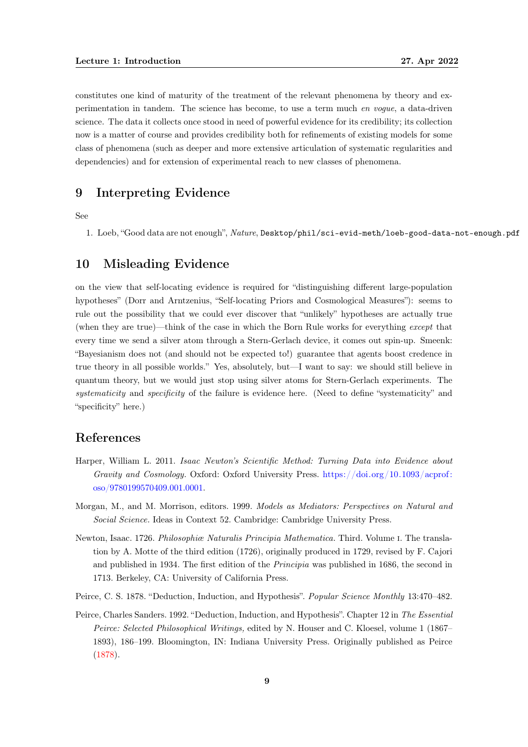constitutes one kind of maturity of the treatment of the relevant phenomena by theory and experimentation in tandem. The science has become, to use a term much en vogue, a data-driven science. The data it collects once stood in need of powerful evidence for its credibility; its collection now is a matter of course and provides credibility both for refinements of existing models for some class of phenomena (such as deeper and more extensive articulation of systematic regularities and dependencies) and for extension of experimental reach to new classes of phenomena.

### <span id="page-8-0"></span>9 Interpreting Evidence

See

1. Loeb, "Good data are not enough", Nature, Desktop/phil/sci-evid-meth/loeb-good-data-not-enough.pdf

### <span id="page-8-1"></span>10 Misleading Evidence

on the view that self-locating evidence is required for "distinguishing different large-population hypotheses" (Dorr and Arntzenius, "Self-locating Priors and Cosmological Measures"): seems to rule out the possibility that we could ever discover that "unlikely" hypotheses are actually true (when they are true)—think of the case in which the Born Rule works for everything except that every time we send a silver atom through a Stern-Gerlach device, it comes out spin-up. Smeenk: "Bayesianism does not (and should not be expected to!) guarantee that agents boost credence in true theory in all possible worlds." Yes, absolutely, but—I want to say: we should still believe in quantum theory, but we would just stop using silver atoms for Stern-Gerlach experiments. The systematicity and specificity of the failure is evidence here. (Need to define "systematicity" and "specificity" here.)

### <span id="page-8-2"></span>References

- <span id="page-8-5"></span>Harper, William L. 2011. Isaac Newton's Scientific Method: Turning Data into Evidence about Gravity and Cosmology. Oxford: Oxford University Press. [https://doi.org/10.1093/acprof:](https://doi.org/10.1093/acprof:oso/9780199570409.001.0001) [oso/9780199570409.001.0001.](https://doi.org/10.1093/acprof:oso/9780199570409.001.0001)
- <span id="page-8-6"></span>Morgan, M., and M. Morrison, editors. 1999. Models as Mediators: Perspectives on Natural and Social Science. Ideas in Context 52. Cambridge: Cambridge University Press.
- <span id="page-8-3"></span>Newton, Isaac. 1726. Philosophiæ Naturalis Principia Mathematica. Third. Volume i. The translation by A. Motte of the third edition (1726), originally produced in 1729, revised by F. Cajori and published in 1934. The first edition of the Principia was published in 1686, the second in 1713. Berkeley, CA: University of California Press.
- <span id="page-8-7"></span>Peirce, C. S. 1878. "Deduction, Induction, and Hypothesis". Popular Science Monthly 13:470–482.
- <span id="page-8-4"></span>Peirce, Charles Sanders. 1992. "Deduction, Induction, and Hypothesis". Chapter 12 in The Essential Peirce: Selected Philosophical Writings, edited by N. Houser and C. Kloesel, volume 1 (1867– 1893), 186–199. Bloomington, IN: Indiana University Press. Originally published as Peirce [\(1878\)](#page-8-7).